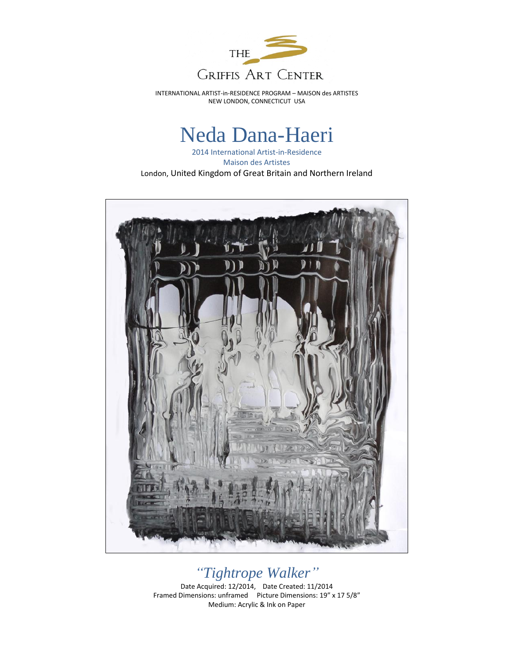

INTERNATIONAL ARTIST-in-RESIDENCE PROGRAM – MAISON des ARTISTES NEW LONDON, CONNECTICUT USA

## Neda Dana-Haeri

2014 International Artist-in-Residence Maison des Artistes London, United Kingdom of Great Britain and Northern Ireland



## *"Tightrope Walker"*

Date Acquired: 12/2014, Date Created: 11/2014 Framed Dimensions: unframed Picture Dimensions: 19" x 17 5/8" Medium: Acrylic & Ink on Paper